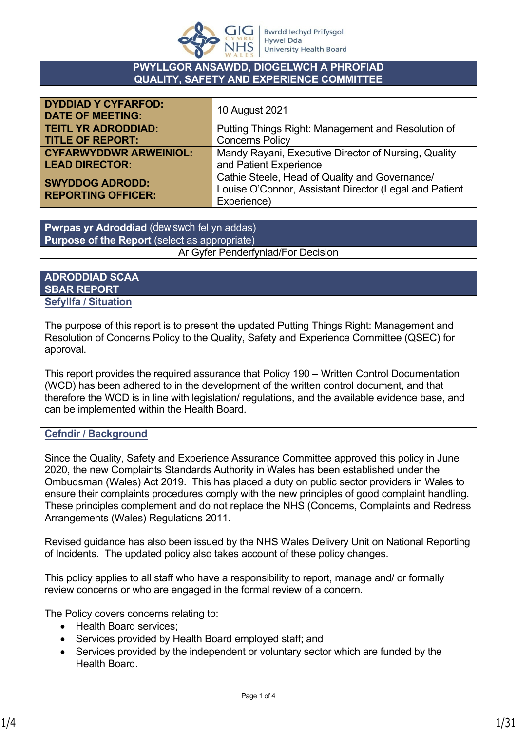

#### **PWYLLGOR ANSAWDD, DIOGELWCH A PHROFIAD QUALITY, SAFETY AND EXPERIENCE COMMITTEE**

| <b>DYDDIAD Y CYFARFOD:</b><br><b>DATE OF MEETING:</b> | 10 August 2021                                         |
|-------------------------------------------------------|--------------------------------------------------------|
| <b>TEITL YR ADRODDIAD:</b>                            | Putting Things Right: Management and Resolution of     |
| <b>TITLE OF REPORT:</b>                               | <b>Concerns Policy</b>                                 |
| <b>CYFARWYDDWR ARWEINIOL:</b>                         | Mandy Rayani, Executive Director of Nursing, Quality   |
| <b>LEAD DIRECTOR:</b>                                 | and Patient Experience                                 |
| <b>SWYDDOG ADRODD:</b>                                | Cathie Steele, Head of Quality and Governance/         |
| <b>REPORTING OFFICER:</b>                             | Louise O'Connor, Assistant Director (Legal and Patient |
|                                                       | Experience)                                            |

**Pwrpas yr Adroddiad** (dewiswch fel yn addas) **Purpose of the Report** (select as appropriate) Ar Gyfer Penderfyniad/For Decision

#### **ADRODDIAD SCAA SBAR REPORT Sefyllfa / Situation**

The purpose of this report is to present the updated Putting Things Right: Management and Resolution of Concerns Policy to the Quality, Safety and Experience Committee (QSEC) for approval.

This report provides the required assurance that Policy 190 – Written Control Documentation (WCD) has been adhered to in the development of the written control document, and that therefore the WCD is in line with legislation/ regulations, and the available evidence base, and can be implemented within the Health Board.

### **Cefndir / Background**

Since the Quality, Safety and Experience Assurance Committee approved this policy in June 2020, the new Complaints Standards Authority in Wales has been established under the Ombudsman (Wales) Act 2019. This has placed a duty on public sector providers in Wales to ensure their complaints procedures comply with the new principles of good complaint handling. These principles complement and do not replace the NHS (Concerns, Complaints and Redress Arrangements (Wales) Regulations 2011.

Revised guidance has also been issued by the NHS Wales Delivery Unit on National Reporting of Incidents. The updated policy also takes account of these policy changes.

This policy applies to all staff who have a responsibility to report, manage and/ or formally review concerns or who are engaged in the formal review of a concern.

The Policy covers concerns relating to:

- Health Board services;
- Services provided by Health Board employed staff; and
- Services provided by the independent or voluntary sector which are funded by the Health Board.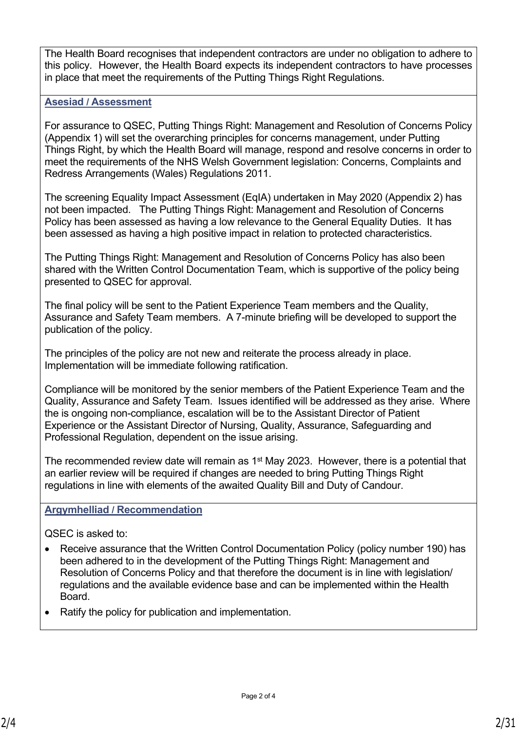The Health Board recognises that independent contractors are under no obligation to adhere to this policy. However, the Health Board expects its independent contractors to have processes in place that meet the requirements of the Putting Things Right Regulations.

#### **Asesiad / Assessment**

For assurance to QSEC, Putting Things Right: Management and Resolution of Concerns Policy (Appendix 1) will set the overarching principles for concerns management, under Putting Things Right, by which the Health Board will manage, respond and resolve concerns in order to meet the requirements of the NHS Welsh Government legislation: Concerns, Complaints and Redress Arrangements (Wales) Regulations 2011.

The screening Equality Impact Assessment (EqIA) undertaken in May 2020 (Appendix 2) has not been impacted. The Putting Things Right: Management and Resolution of Concerns Policy has been assessed as having a low relevance to the General Equality Duties. It has been assessed as having a high positive impact in relation to protected characteristics.

The Putting Things Right: Management and Resolution of Concerns Policy has also been shared with the Written Control Documentation Team, which is supportive of the policy being presented to QSEC for approval.

The final policy will be sent to the Patient Experience Team members and the Quality, Assurance and Safety Team members. A 7-minute briefing will be developed to support the publication of the policy.

The principles of the policy are not new and reiterate the process already in place. Implementation will be immediate following ratification.

Compliance will be monitored by the senior members of the Patient Experience Team and the Quality, Assurance and Safety Team. Issues identified will be addressed as they arise. Where the is ongoing non-compliance, escalation will be to the Assistant Director of Patient Experience or the Assistant Director of Nursing, Quality, Assurance, Safeguarding and Professional Regulation, dependent on the issue arising.

The recommended review date will remain as 1<sup>st</sup> May 2023. However, there is a potential that an earlier review will be required if changes are needed to bring Putting Things Right regulations in line with elements of the awaited Quality Bill and Duty of Candour.

#### **Argymhelliad / Recommendation**

QSEC is asked to:

- Receive assurance that the Written Control Documentation Policy (policy number 190) has been adhered to in the development of the Putting Things Right: Management and Resolution of Concerns Policy and that therefore the document is in line with legislation/ regulations and the available evidence base and can be implemented within the Health **Board**
- Ratify the policy for publication and implementation.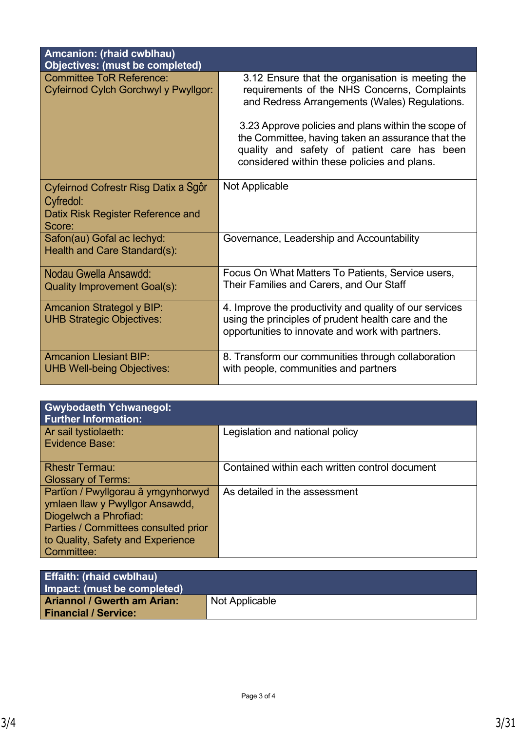| Amcanion: (rhaid cwblhau)<br><b>Objectives: (must be completed)</b>                              |                                                                                                                                                                                                                                                                                                                                                             |
|--------------------------------------------------------------------------------------------------|-------------------------------------------------------------------------------------------------------------------------------------------------------------------------------------------------------------------------------------------------------------------------------------------------------------------------------------------------------------|
| <b>Committee ToR Reference:</b><br>Cyfeirnod Cylch Gorchwyl y Pwyllgor:                          | 3.12 Ensure that the organisation is meeting the<br>requirements of the NHS Concerns, Complaints<br>and Redress Arrangements (Wales) Regulations.<br>3.23 Approve policies and plans within the scope of<br>the Committee, having taken an assurance that the<br>quality and safety of patient care has been<br>considered within these policies and plans. |
| Cyfeirnod Cofrestr Risg Datix a Sgôr<br>Cyfredol:<br>Datix Risk Register Reference and<br>Score: | Not Applicable                                                                                                                                                                                                                                                                                                                                              |
| Safon(au) Gofal ac lechyd:<br>Health and Care Standard(s):                                       | Governance, Leadership and Accountability                                                                                                                                                                                                                                                                                                                   |
| Nodau Gwella Ansawdd:<br><b>Quality Improvement Goal(s):</b>                                     | Focus On What Matters To Patients, Service users,<br>Their Families and Carers, and Our Staff                                                                                                                                                                                                                                                               |
| <b>Amcanion Strategol y BIP:</b><br><b>UHB Strategic Objectives:</b>                             | 4. Improve the productivity and quality of our services<br>using the principles of prudent health care and the<br>opportunities to innovate and work with partners.                                                                                                                                                                                         |
| <b>Amcanion Llesiant BIP:</b><br><b>UHB Well-being Objectives:</b>                               | 8. Transform our communities through collaboration<br>with people, communities and partners                                                                                                                                                                                                                                                                 |

| <b>Gwybodaeth Ychwanegol:</b><br><b>Further Information:</b>                                                                                                                              |                                                |
|-------------------------------------------------------------------------------------------------------------------------------------------------------------------------------------------|------------------------------------------------|
| Ar sail tystiolaeth:<br>Evidence Base:                                                                                                                                                    | Legislation and national policy                |
| <b>Rhestr Termau:</b><br><b>Glossary of Terms:</b>                                                                                                                                        | Contained within each written control document |
| Partïon / Pwyllgorau â ymgynhorwyd<br>ymlaen llaw y Pwyllgor Ansawdd,<br>Diogelwch a Phrofiad:<br>Parties / Committees consulted prior<br>to Quality, Safety and Experience<br>Committee: | As detailed in the assessment                  |

| <b>Effaith: (rhaid cwblhau)</b><br>Impact: (must be completed)    |                |
|-------------------------------------------------------------------|----------------|
| <b>Ariannol / Gwerth am Arian:</b><br><b>Financial / Service:</b> | Not Applicable |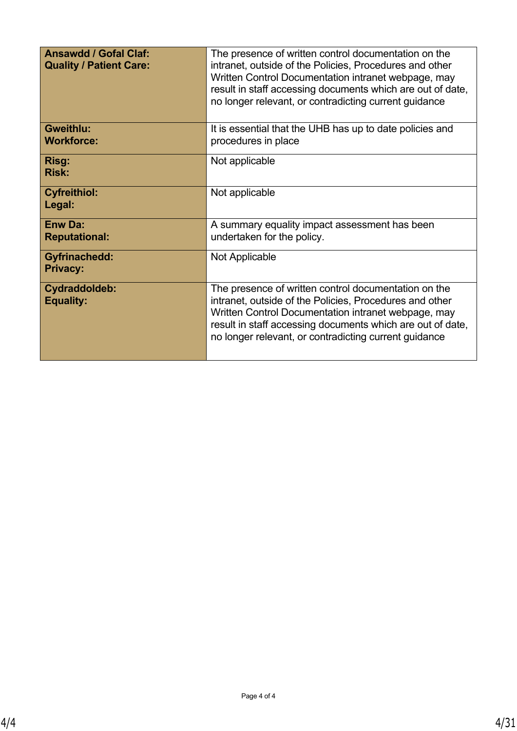| <b>Ansawdd / Gofal Claf:</b><br><b>Quality / Patient Care:</b> | The presence of written control documentation on the<br>intranet, outside of the Policies, Procedures and other<br>Written Control Documentation intranet webpage, may<br>result in staff accessing documents which are out of date,<br>no longer relevant, or contradicting current guidance |
|----------------------------------------------------------------|-----------------------------------------------------------------------------------------------------------------------------------------------------------------------------------------------------------------------------------------------------------------------------------------------|
| <b>Gweithlu:</b><br><b>Workforce:</b>                          | It is essential that the UHB has up to date policies and<br>procedures in place                                                                                                                                                                                                               |
| Risg:<br><b>Risk:</b>                                          | Not applicable                                                                                                                                                                                                                                                                                |
| <b>Cyfreithiol:</b><br>Legal:                                  | Not applicable                                                                                                                                                                                                                                                                                |
| <b>Enw Da:</b><br><b>Reputational:</b>                         | A summary equality impact assessment has been<br>undertaken for the policy.                                                                                                                                                                                                                   |
| <b>Gyfrinachedd:</b><br><b>Privacy:</b>                        | Not Applicable                                                                                                                                                                                                                                                                                |
| Cydraddoldeb:<br><b>Equality:</b>                              | The presence of written control documentation on the<br>intranet, outside of the Policies, Procedures and other<br>Written Control Documentation intranet webpage, may<br>result in staff accessing documents which are out of date,<br>no longer relevant, or contradicting current guidance |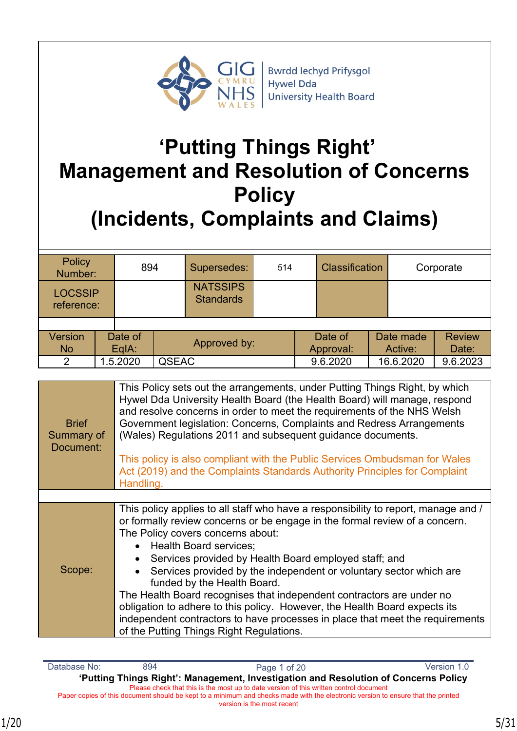

# **'Putting Things Right' Management and Resolution of Concerns Policy (Incidents, Complaints and Claims)**

| Policy<br>894<br>Number:     |                                    |          | Supersedes:                         | 514                  |  | <b>Classification</b> |                        | Corporate |           |          |
|------------------------------|------------------------------------|----------|-------------------------------------|----------------------|--|-----------------------|------------------------|-----------|-----------|----------|
| <b>LOCSSIP</b><br>reference: |                                    |          | <b>NATSSIPS</b><br><b>Standards</b> |                      |  |                       |                        |           |           |          |
|                              |                                    |          |                                     |                      |  |                       |                        |           |           |          |
| <b>Version</b><br><b>No</b>  | Date of<br>Approved by:<br>$EqA$ : |          |                                     | Date of<br>Approval: |  | Date made<br>Active:  | <b>Review</b><br>Date: |           |           |          |
| $\mathcal{P}$                |                                    | 1.5.2020 | <b>QSEAC</b>                        |                      |  |                       | 9.6.2020               |           | 16.6.2020 | 9.6.2023 |

| <b>Brief</b><br>Summary of<br>Document: | This Policy sets out the arrangements, under Putting Things Right, by which<br>Hywel Dda University Health Board (the Health Board) will manage, respond<br>and resolve concerns in order to meet the requirements of the NHS Welsh<br>Government legislation: Concerns, Complaints and Redress Arrangements<br>(Wales) Regulations 2011 and subsequent guidance documents.<br>This policy is also compliant with the Public Services Ombudsman for Wales<br>Act (2019) and the Complaints Standards Authority Principles for Complaint<br>Handling.                                                                                                                                 |
|-----------------------------------------|--------------------------------------------------------------------------------------------------------------------------------------------------------------------------------------------------------------------------------------------------------------------------------------------------------------------------------------------------------------------------------------------------------------------------------------------------------------------------------------------------------------------------------------------------------------------------------------------------------------------------------------------------------------------------------------|
|                                         |                                                                                                                                                                                                                                                                                                                                                                                                                                                                                                                                                                                                                                                                                      |
| Scope:                                  | This policy applies to all staff who have a responsibility to report, manage and /<br>or formally review concerns or be engage in the formal review of a concern.<br>The Policy covers concerns about:<br>• Health Board services;<br>Services provided by Health Board employed staff; and<br>Services provided by the independent or voluntary sector which are<br>funded by the Health Board.<br>The Health Board recognises that independent contractors are under no<br>obligation to adhere to this policy. However, the Health Board expects its<br>independent contractors to have processes in place that meet the requirements<br>of the Putting Things Right Regulations. |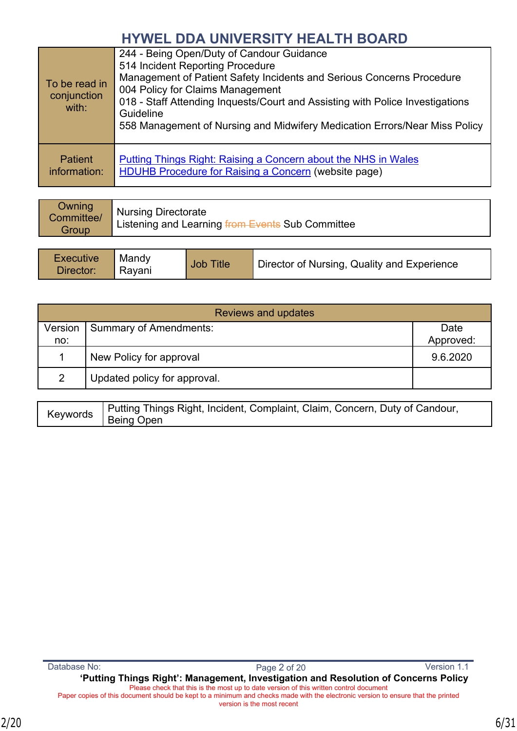| To be read in<br>conjunction<br>with: | 244 - Being Open/Duty of Candour Guidance<br>514 Incident Reporting Procedure<br>Management of Patient Safety Incidents and Serious Concerns Procedure<br>004 Policy for Claims Management<br>018 - Staff Attending Inquests/Court and Assisting with Police Investigations<br>Guideline<br>558 Management of Nursing and Midwifery Medication Errors/Near Miss Policy |
|---------------------------------------|------------------------------------------------------------------------------------------------------------------------------------------------------------------------------------------------------------------------------------------------------------------------------------------------------------------------------------------------------------------------|
| <b>Patient</b><br>information:        | Putting Things Right: Raising a Concern about the NHS in Wales<br><b>HDUHB Procedure for Raising a Concern (website page)</b>                                                                                                                                                                                                                                          |

| <b>Owning</b><br>Committee/<br>Group | <i>Nursing Directorate</i><br>Listening and Learning from Events Sub Committee |
|--------------------------------------|--------------------------------------------------------------------------------|
|                                      |                                                                                |

| <b>Executive</b><br>Mandy<br><b>Title</b><br>Job<br>Director of Nursing, Quality and Experience<br>Director:<br>Ravani |  |
|------------------------------------------------------------------------------------------------------------------------|--|
|------------------------------------------------------------------------------------------------------------------------|--|

| <b>Reviews and updates</b> |                               |           |  |
|----------------------------|-------------------------------|-----------|--|
| Version                    | <b>Summary of Amendments:</b> | Date      |  |
| no:                        |                               | Approved: |  |
|                            | New Policy for approval       | 9.6.2020  |  |
| $\mathcal{P}$              | Updated policy for approval.  |           |  |

| Keywords | Putting Things Right, Incident, Complaint, Claim, Concern, Duty of Candour,<br>Being Open |
|----------|-------------------------------------------------------------------------------------------|
|----------|-------------------------------------------------------------------------------------------|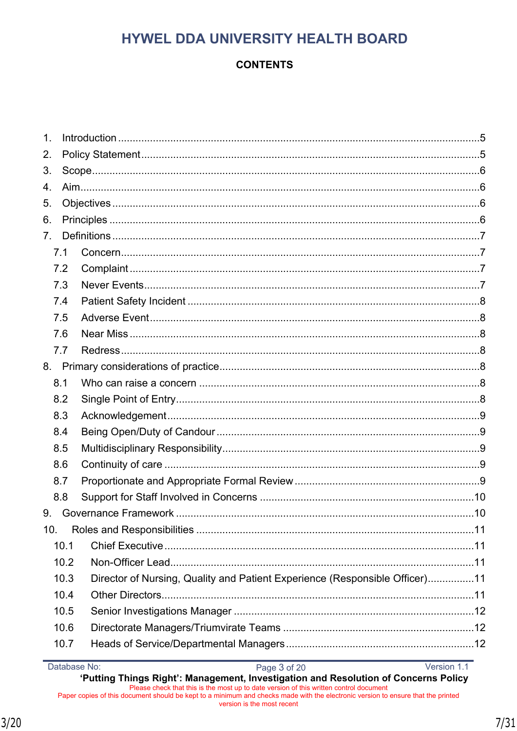## **CONTENTS**

| $\mathbf 1$ .  |                 |      |                                                                             |  |  |  |
|----------------|-----------------|------|-----------------------------------------------------------------------------|--|--|--|
| 2.             |                 |      |                                                                             |  |  |  |
| 3.             |                 |      |                                                                             |  |  |  |
| 4.             |                 |      |                                                                             |  |  |  |
| 5.             |                 |      |                                                                             |  |  |  |
| 6.             |                 |      |                                                                             |  |  |  |
| 7 <sub>1</sub> |                 |      |                                                                             |  |  |  |
|                | 7.1             |      |                                                                             |  |  |  |
|                | 7.2             |      |                                                                             |  |  |  |
|                | 7.3             |      |                                                                             |  |  |  |
|                | 7.4             |      |                                                                             |  |  |  |
|                | 7.5             |      |                                                                             |  |  |  |
|                | 7.6             |      |                                                                             |  |  |  |
|                | 7.7             |      |                                                                             |  |  |  |
|                | 8.              |      |                                                                             |  |  |  |
|                | 8.1             |      |                                                                             |  |  |  |
|                | 8.2             |      |                                                                             |  |  |  |
|                | 8.3             |      |                                                                             |  |  |  |
|                | 8.4             |      |                                                                             |  |  |  |
|                | 8.5             |      |                                                                             |  |  |  |
|                | 8.6             |      |                                                                             |  |  |  |
|                | 8.7             |      |                                                                             |  |  |  |
|                | 8.8             |      |                                                                             |  |  |  |
| 9.             |                 |      |                                                                             |  |  |  |
|                | 10 <sub>1</sub> |      |                                                                             |  |  |  |
|                |                 | 10.1 |                                                                             |  |  |  |
|                |                 | 10.2 |                                                                             |  |  |  |
|                |                 | 10.3 | Director of Nursing, Quality and Patient Experience (Responsible Officer)11 |  |  |  |
|                |                 | 10.4 |                                                                             |  |  |  |
|                |                 | 10.5 |                                                                             |  |  |  |
|                |                 | 10.6 |                                                                             |  |  |  |
|                |                 | 10.7 |                                                                             |  |  |  |
|                |                 |      |                                                                             |  |  |  |

Database No:

Version 1.1

'Putting Things Right': Management, Investigation and Resolution of Concerns Policy Please check that this is the most up to date version of this written control document<br>Paper copies of this document should be kept to a minimum and checks made with the electronic version to ensure that the printed version is the most recent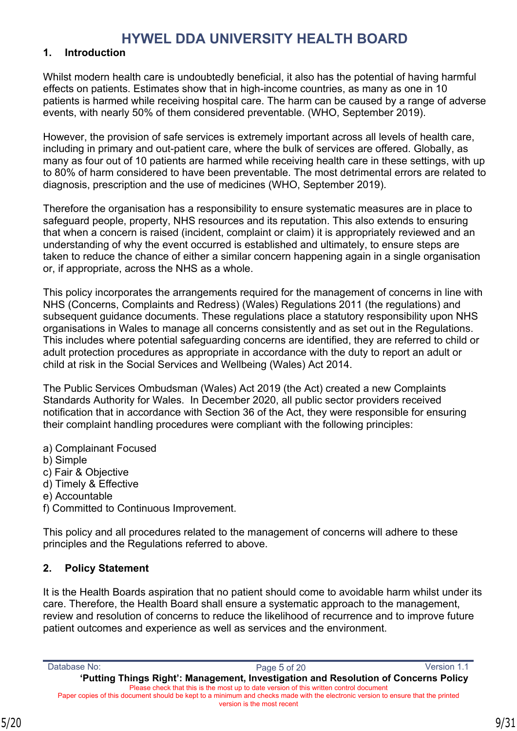#### <span id="page-8-0"></span>**1. Introduction**

Whilst modern health care is undoubtedly beneficial, it also has the potential of having harmful effects on patients. Estimates show that in high-income countries, as many as one in 10 patients is harmed while receiving hospital care. The harm can be caused by a range of adverse events, with nearly 50% of them considered preventable. (WHO, September 2019).

However, the provision of safe services is extremely important across all levels of health care, including in primary and out-patient care, where the bulk of services are offered. Globally, as many as four out of 10 patients are harmed while receiving health care in these settings, with up to 80% of harm considered to have been preventable. The most detrimental errors are related to diagnosis, prescription and the use of medicines (WHO, September 2019).

Therefore the organisation has a responsibility to ensure systematic measures are in place to safeguard people, property, NHS resources and its reputation. This also extends to ensuring that when a concern is raised (incident, complaint or claim) it is appropriately reviewed and an understanding of why the event occurred is established and ultimately, to ensure steps are taken to reduce the chance of either a similar concern happening again in a single organisation or, if appropriate, across the NHS as a whole.

This policy incorporates the arrangements required for the management of concerns in line with NHS (Concerns, Complaints and Redress) (Wales) Regulations 2011 (the regulations) and subsequent guidance documents. These regulations place a statutory responsibility upon NHS organisations in Wales to manage all concerns consistently and as set out in the Regulations. This includes where potential safeguarding concerns are identified, they are referred to child or adult protection procedures as appropriate in accordance with the duty to report an adult or child at risk in the Social Services and Wellbeing (Wales) Act 2014.

The Public Services Ombudsman (Wales) Act 2019 (the Act) created a new Complaints Standards Authority for Wales. In December 2020, all public sector providers received notification that in accordance with Section 36 of the Act, they were responsible for ensuring their complaint handling procedures were compliant with the following principles:

- a) Complainant Focused
- b) Simple
- c) Fair & Objective
- d) Timely & Effective
- e) Accountable
- f) Committed to Continuous Improvement.

This policy and all procedures related to the management of concerns will adhere to these principles and the Regulations referred to above.

#### <span id="page-8-1"></span>**2. Policy Statement**

It is the Health Boards aspiration that no patient should come to avoidable harm whilst under its care. Therefore, the Health Board shall ensure a systematic approach to the management, review and resolution of concerns to reduce the likelihood of recurrence and to improve future patient outcomes and experience as well as services and the environment.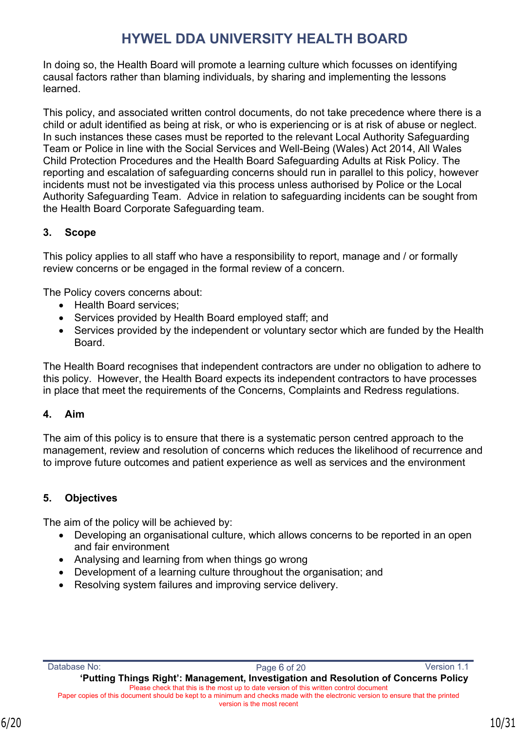In doing so, the Health Board will promote a learning culture which focusses on identifying causal factors rather than blaming individuals, by sharing and implementing the lessons learned.

This policy, and associated written control documents, do not take precedence where there is a child or adult identified as being at risk, or who is experiencing or is at risk of abuse or neglect. In such instances these cases must be reported to the relevant Local Authority Safeguarding Team or Police in line with the Social Services and Well-Being (Wales) Act 2014, All Wales Child Protection Procedures and the Health Board Safeguarding Adults at Risk Policy. The reporting and escalation of safeguarding concerns should run in parallel to this policy, however incidents must not be investigated via this process unless authorised by Police or the Local Authority Safeguarding Team. Advice in relation to safeguarding incidents can be sought from the Health Board Corporate Safeguarding team.

### <span id="page-9-0"></span>**3. Scope**

This policy applies to all staff who have a responsibility to report, manage and / or formally review concerns or be engaged in the formal review of a concern.

The Policy covers concerns about:

- Health Board services:
- Services provided by Health Board employed staff; and
- Services provided by the independent or voluntary sector which are funded by the Health Board.

The Health Board recognises that independent contractors are under no obligation to adhere to this policy. However, the Health Board expects its independent contractors to have processes in place that meet the requirements of the Concerns, Complaints and Redress regulations.

### <span id="page-9-1"></span>**4. Aim**

The aim of this policy is to ensure that there is a systematic person centred approach to the management, review and resolution of concerns which reduces the likelihood of recurrence and to improve future outcomes and patient experience as well as services and the environment

### <span id="page-9-2"></span>**5. Objectives**

The aim of the policy will be achieved by:

- Developing an organisational culture, which allows concerns to be reported in an open and fair environment
- Analysing and learning from when things go wrong
- Development of a learning culture throughout the organisation; and
- Resolving system failures and improving service delivery.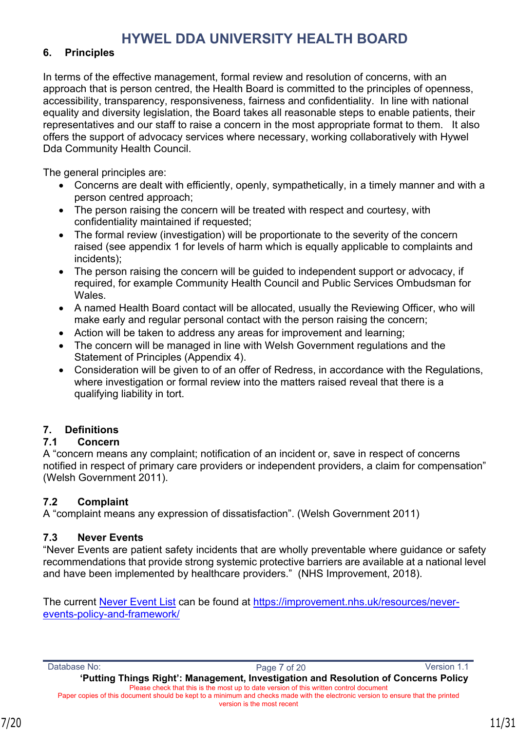#### <span id="page-10-0"></span>**6. Principles**

In terms of the effective management, formal review and resolution of concerns, with an approach that is person centred, the Health Board is committed to the principles of openness, accessibility, transparency, responsiveness, fairness and confidentiality. In line with national equality and diversity legislation, the Board takes all reasonable steps to enable patients, their representatives and our staff to raise a concern in the most appropriate format to them. It also offers the support of advocacy services where necessary, working collaboratively with Hywel Dda Community Health Council.

The general principles are:

- Concerns are dealt with efficiently, openly, sympathetically, in a timely manner and with a person centred approach;
- The person raising the concern will be treated with respect and courtesy, with confidentiality maintained if requested;
- The formal review (investigation) will be proportionate to the severity of the concern raised (see appendix 1 for levels of harm which is equally applicable to complaints and incidents);
- The person raising the concern will be quided to independent support or advocacy, if required, for example Community Health Council and Public Services Ombudsman for **Wales**
- A named Health Board contact will be allocated, usually the Reviewing Officer, who will make early and regular personal contact with the person raising the concern;
- Action will be taken to address any areas for improvement and learning;
- The concern will be managed in line with Welsh Government regulations and the Statement of Principles (Appendix 4).
- Consideration will be given to of an offer of Redress, in accordance with the Regulations, where investigation or formal review into the matters raised reveal that there is a qualifying liability in tort.

### <span id="page-10-1"></span>**7. Definitions**

### <span id="page-10-2"></span>**7.1 Concern**

A "concern means any complaint; notification of an incident or, save in respect of concerns notified in respect of primary care providers or independent providers, a claim for compensation" (Welsh Government 2011).

### <span id="page-10-3"></span>**7.2 Complaint**

A "complaint means any expression of dissatisfaction". (Welsh Government 2011)

### <span id="page-10-4"></span>**7.3 Never Events**

"Never Events are patient safety incidents that are wholly preventable where guidance or safety recommendations that provide strong systemic protective barriers are available at a national level and have been implemented by healthcare providers." (NHS Improvement, 2018).

The current [Never Event List](https://improvement.nhs.uk/resources/never-events-policy-and-framework/) can be found at [https://improvement.nhs.uk/resources/never](https://improvement.nhs.uk/resources/never-events-policy-and-framework/)[events-policy-and-framework/](https://improvement.nhs.uk/resources/never-events-policy-and-framework/)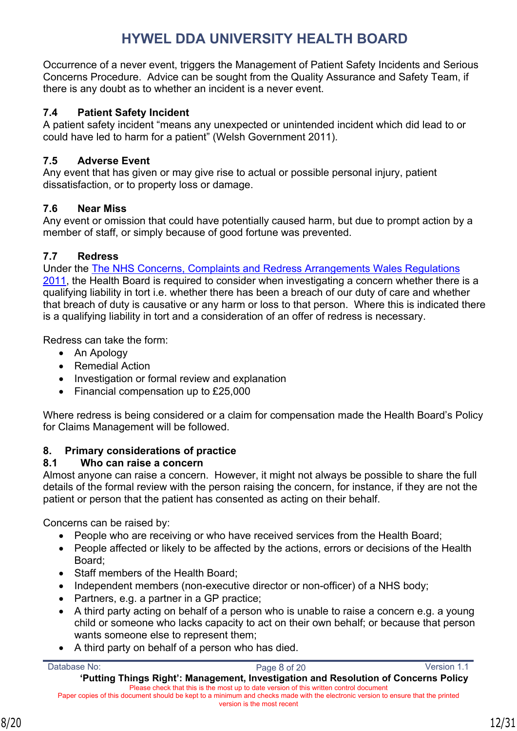Occurrence of a never event, triggers the Management of Patient Safety Incidents and Serious Concerns Procedure. Advice can be sought from the Quality Assurance and Safety Team, if there is any doubt as to whether an incident is a never event.

### <span id="page-11-0"></span>**7.4 Patient Safety Incident**

A patient safety incident "means any unexpected or unintended incident which did lead to or could have led to harm for a patient" (Welsh Government 2011).

### <span id="page-11-1"></span>**7.5 Adverse Event**

Any event that has given or may give rise to actual or possible personal injury, patient dissatisfaction, or to property loss or damage.

### <span id="page-11-2"></span>**7.6 Near Miss**

Any event or omission that could have potentially caused harm, but due to prompt action by a member of staff, or simply because of good fortune was prevented.

### <span id="page-11-3"></span>**7.7 Redress**

Under the [The NHS Concerns, Complaints and Redress Arrangements Wales Regulations](http://www.wales.nhs.uk/sites3/docopen.cfm?orgid=932&id=170726)  [2011](http://www.wales.nhs.uk/sites3/docopen.cfm?orgid=932&id=170726), the Health Board is required to consider when investigating a concern whether there is a qualifying liability in tort i.e. whether there has been a breach of our duty of care and whether that breach of duty is causative or any harm or loss to that person. Where this is indicated there is a qualifying liability in tort and a consideration of an offer of redress is necessary.

Redress can take the form:

- An Apology
- Remedial Action
- Investigation or formal review and explanation
- Financial compensation up to £25,000

Where redress is being considered or a claim for compensation made the Health Board's Policy for Claims Management will be followed.

## <span id="page-11-4"></span>**8. Primary considerations of practice**

### <span id="page-11-5"></span>**8.1 Who can raise a concern**

Almost anyone can raise a concern. However, it might not always be possible to share the full details of the formal review with the person raising the concern, for instance, if they are not the patient or person that the patient has consented as acting on their behalf.

Concerns can be raised by:

- People who are receiving or who have received services from the Health Board;
- People affected or likely to be affected by the actions, errors or decisions of the Health Board;
- Staff members of the Health Board;
- Independent members (non-executive director or non-officer) of a NHS body:
- Partners, e.g. a partner in a GP practice;
- A third party acting on behalf of a person who is unable to raise a concern e.g. a young child or someone who lacks capacity to act on their own behalf; or because that person wants someone else to represent them;
- A third party on behalf of a person who has died.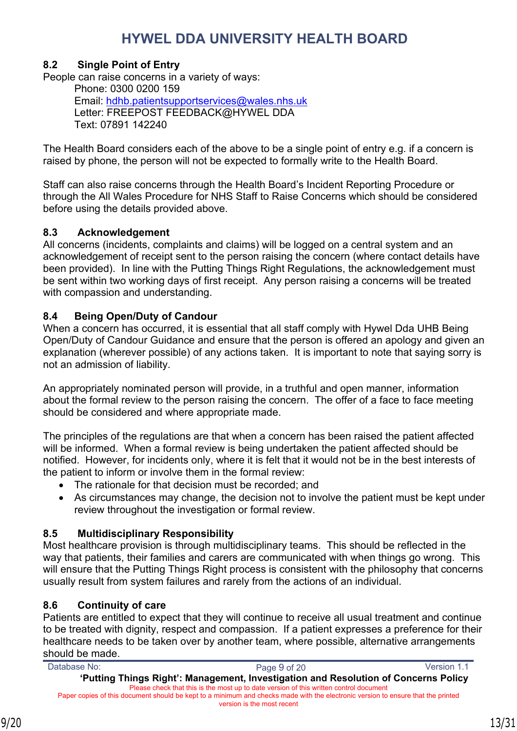### <span id="page-12-0"></span>**8.2 Single Point of Entry**

People can raise concerns in a variety of ways: Phone: 0300 0200 159 Email: [hdhb.patientsupportservices@wales.nhs.uk](mailto:hdhb.patientsupportservices@wales.nhs.uk) Letter: FREEPOST FEEDBACK@HYWEL DDA

Text: 07891 142240

The Health Board considers each of the above to be a single point of entry e.g. if a concern is raised by phone, the person will not be expected to formally write to the Health Board.

Staff can also raise concerns through the Health Board's Incident Reporting Procedure or through the All Wales Procedure for NHS Staff to Raise Concerns which should be considered before using the details provided above.

#### <span id="page-12-1"></span>**8.3 Acknowledgement**

All concerns (incidents, complaints and claims) will be logged on a central system and an acknowledgement of receipt sent to the person raising the concern (where contact details have been provided). In line with the Putting Things Right Regulations, the acknowledgement must be sent within two working days of first receipt. Any person raising a concerns will be treated with compassion and understanding.

#### <span id="page-12-2"></span>**8.4 Being Open/Duty of Candour**

When a concern has occurred, it is essential that all staff comply with Hywel Dda UHB Being Open/Duty of Candour Guidance and ensure that the person is offered an apology and given an explanation (wherever possible) of any actions taken. It is important to note that saying sorry is not an admission of liability.

An appropriately nominated person will provide, in a truthful and open manner, information about the formal review to the person raising the concern. The offer of a face to face meeting should be considered and where appropriate made.

The principles of the regulations are that when a concern has been raised the patient affected will be informed. When a formal review is being undertaken the patient affected should be notified. However, for incidents only, where it is felt that it would not be in the best interests of the patient to inform or involve them in the formal review:

- The rationale for that decision must be recorded; and
- As circumstances may change, the decision not to involve the patient must be kept under review throughout the investigation or formal review.

#### <span id="page-12-3"></span>**8.5 Multidisciplinary Responsibility**

Most healthcare provision is through multidisciplinary teams. This should be reflected in the way that patients, their families and carers are communicated with when things go wrong. This will ensure that the Putting Things Right process is consistent with the philosophy that concerns usually result from system failures and rarely from the actions of an individual.

#### <span id="page-12-4"></span>**8.6 Continuity of care**

Patients are entitled to expect that they will continue to receive all usual treatment and continue to be treated with dignity, respect and compassion. If a patient expresses a preference for their healthcare needs to be taken over by another team, where possible, alternative arrangements should be made.

| Database No:                                                                                                                     | Page 9 of 20                                                                           | Version 1.1 |
|----------------------------------------------------------------------------------------------------------------------------------|----------------------------------------------------------------------------------------|-------------|
|                                                                                                                                  | 'Putting Things Right': Management, Investigation and Resolution of Concerns Policy    |             |
|                                                                                                                                  | Please check that this is the most up to date version of this written control document |             |
| Paper copies of this document should be kept to a minimum and checks made with the electronic version to ensure that the printed |                                                                                        |             |
|                                                                                                                                  | version is the most recent                                                             |             |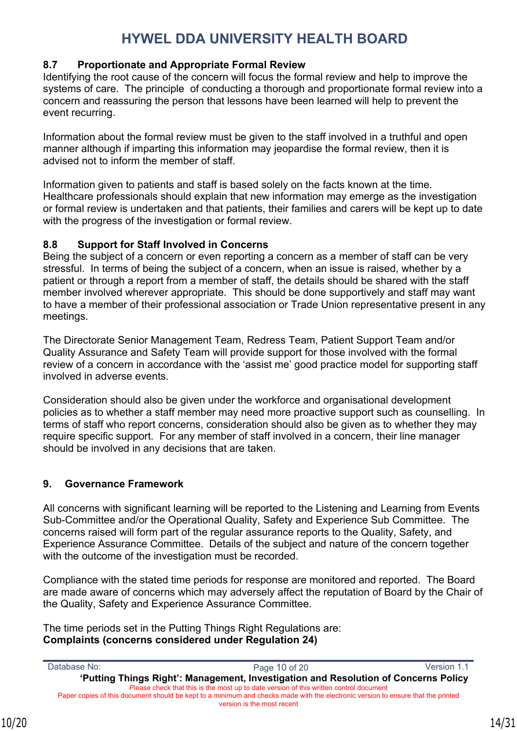### <span id="page-13-0"></span>**8.7 Proportionate and Appropriate Formal Review**

Identifying the root cause of the concern will focus the formal review and help to improve the systems of care. The principle of conducting a thorough and proportionate formal review into a concern and reassuring the person that lessons have been learned will help to prevent the event recurring.

Information about the formal review must be given to the staff involved in a truthful and open manner although if imparting this information may jeopardise the formal review, then it is advised not to inform the member of staff.

Information given to patients and staff is based solely on the facts known at the time. Healthcare professionals should explain that new information may emerge as the investigation or formal review is undertaken and that patients, their families and carers will be kept up to date with the progress of the investigation or formal review.

### <span id="page-13-1"></span>**8.8 Support for Staff Involved in Concerns**

Being the subject of a concern or even reporting a concern as a member of staff can be very stressful. In terms of being the subject of a concern, when an issue is raised, whether by a patient or through a report from a member of staff, the details should be shared with the staff member involved wherever appropriate. This should be done supportively and staff may want to have a member of their professional association or Trade Union representative present in any meetings.

The Directorate Senior Management Team, Redress Team, Patient Support Team and/or Quality Assurance and Safety Team will provide support for those involved with the formal review of a concern in accordance with the 'assist me' good practice model for supporting staff involved in adverse events.

Consideration should also be given under the workforce and organisational development policies as to whether a staff member may need more proactive support such as counselling. In terms of staff who report concerns, consideration should also be given as to whether they may require specific support. For any member of staff involved in a concern, their line manager should be involved in any decisions that are taken.

## <span id="page-13-2"></span>**9. Governance Framework**

All concerns with significant learning will be reported to the Listening and Learning from Events Sub-Committee and/or the Operational Quality, Safety and Experience Sub Committee. The concerns raised will form part of the regular assurance reports to the Quality, Safety, and Experience Assurance Committee. Details of the subject and nature of the concern together with the outcome of the investigation must be recorded.

Compliance with the stated time periods for response are monitored and reported. The Board are made aware of concerns which may adversely affect the reputation of Board by the Chair of the Quality, Safety and Experience Assurance Committee.

The time periods set in the Putting Things Right Regulations are: **Complaints (concerns considered under Regulation 24)**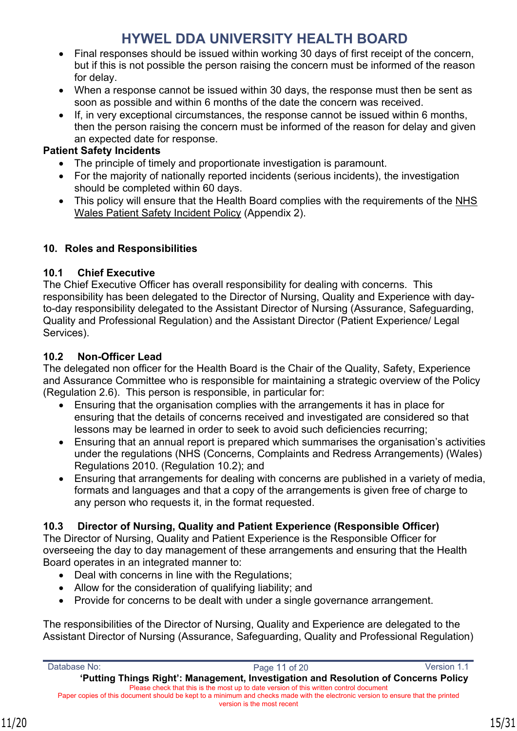- Final responses should be issued within working 30 days of first receipt of the concern, but if this is not possible the person raising the concern must be informed of the reason for delay.
- When a response cannot be issued within 30 days, the response must then be sent as soon as possible and within 6 months of the date the concern was received.
- If, in very exceptional circumstances, the response cannot be issued within 6 months, then the person raising the concern must be informed of the reason for delay and given an expected date for response.

## **Patient Safety Incidents**

- The principle of timely and proportionate investigation is paramount.
- For the majority of nationally reported incidents (serious incidents), the investigation should be completed within 60 days.
- This policy will ensure that the Health Board complies with the requirements of the [NHS](https://du.nhs.wales/patient-safety-wales/patient-safety-incidents/)  [Wales Patient Safety Incident Policy](https://du.nhs.wales/patient-safety-wales/patient-safety-incidents/) (Appendix 2).

## <span id="page-14-0"></span>**10. Roles and Responsibilities**

## <span id="page-14-1"></span>**10.1 Chief Executive**

The Chief Executive Officer has overall responsibility for dealing with concerns. This responsibility has been delegated to the Director of Nursing, Quality and Experience with dayto-day responsibility delegated to the Assistant Director of Nursing (Assurance, Safeguarding, Quality and Professional Regulation) and the Assistant Director (Patient Experience/ Legal Services).

## <span id="page-14-2"></span>**10.2 Non-Officer Lead**

The delegated non officer for the Health Board is the Chair of the Quality, Safety, Experience and Assurance Committee who is responsible for maintaining a strategic overview of the Policy (Regulation 2.6). This person is responsible, in particular for:

- Ensuring that the organisation complies with the arrangements it has in place for ensuring that the details of concerns received and investigated are considered so that lessons may be learned in order to seek to avoid such deficiencies recurring;
- Ensuring that an annual report is prepared which summarises the organisation's activities under the regulations (NHS (Concerns, Complaints and Redress Arrangements) (Wales) Regulations 2010. (Regulation 10.2); and
- Ensuring that arrangements for dealing with concerns are published in a variety of media, formats and languages and that a copy of the arrangements is given free of charge to any person who requests it, in the format requested.

## <span id="page-14-3"></span>**10.3 Director of Nursing, Quality and Patient Experience (Responsible Officer)**

The Director of Nursing, Quality and Patient Experience is the Responsible Officer for overseeing the day to day management of these arrangements and ensuring that the Health Board operates in an integrated manner to:

- Deal with concerns in line with the Regulations;
- Allow for the consideration of qualifying liability; and
- Provide for concerns to be dealt with under a single governance arrangement.

The responsibilities of the Director of Nursing, Quality and Experience are delegated to the Assistant Director of Nursing (Assurance, Safeguarding, Quality and Professional Regulation)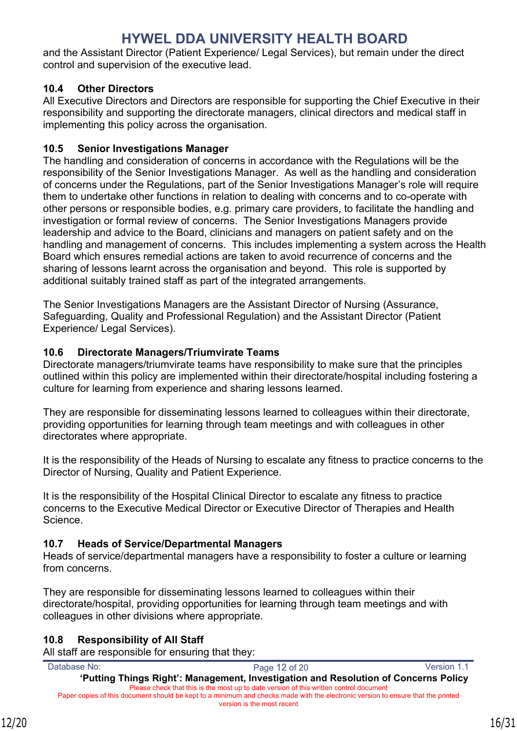and the Assistant Director (Patient Experience/ Legal Services), but remain under the direct control and supervision of the executive lead.

### <span id="page-15-0"></span>**10.4 Other Directors**

All Executive Directors and Directors are responsible for supporting the Chief Executive in their responsibility and supporting the directorate managers, clinical directors and medical staff in implementing this policy across the organisation.

### <span id="page-15-1"></span>**10.5 Senior Investigations Manager**

The handling and consideration of concerns in accordance with the Regulations will be the responsibility of the Senior Investigations Manager. As well as the handling and consideration of concerns under the Regulations, part of the Senior Investigations Manager's role will require them to undertake other functions in relation to dealing with concerns and to co-operate with other persons or responsible bodies, e.g. primary care providers, to facilitate the handling and investigation or formal review of concerns. The Senior Investigations Managers provide leadership and advice to the Board, clinicians and managers on patient safety and on the handling and management of concerns. This includes implementing a system across the Health Board which ensures remedial actions are taken to avoid recurrence of concerns and the sharing of lessons learnt across the organisation and beyond. This role is supported by additional suitably trained staff as part of the integrated arrangements.

The Senior Investigations Managers are the Assistant Director of Nursing (Assurance, Safeguarding, Quality and Professional Regulation) and the Assistant Director (Patient Experience/ Legal Services).

### <span id="page-15-2"></span>**10.6 Directorate Managers/Triumvirate Teams**

Directorate managers/triumvirate teams have responsibility to make sure that the principles outlined within this policy are implemented within their directorate/hospital including fostering a culture for learning from experience and sharing lessons learned.

They are responsible for disseminating lessons learned to colleagues within their directorate, providing opportunities for learning through team meetings and with colleagues in other directorates where appropriate.

It is the responsibility of the Heads of Nursing to escalate any fitness to practice concerns to the Director of Nursing, Quality and Patient Experience.

It is the responsibility of the Hospital Clinical Director to escalate any fitness to practice concerns to the Executive Medical Director or Executive Director of Therapies and Health Science.

## <span id="page-15-3"></span>**10.7 Heads of Service/Departmental Managers**

Heads of service/departmental managers have a responsibility to foster a culture or learning from concerns.

They are responsible for disseminating lessons learned to colleagues within their directorate/hospital, providing opportunities for learning through team meetings and with colleagues in other divisions where appropriate.

## <span id="page-15-4"></span>**10.8 Responsibility of All Staff**

All staff are responsible for ensuring that they: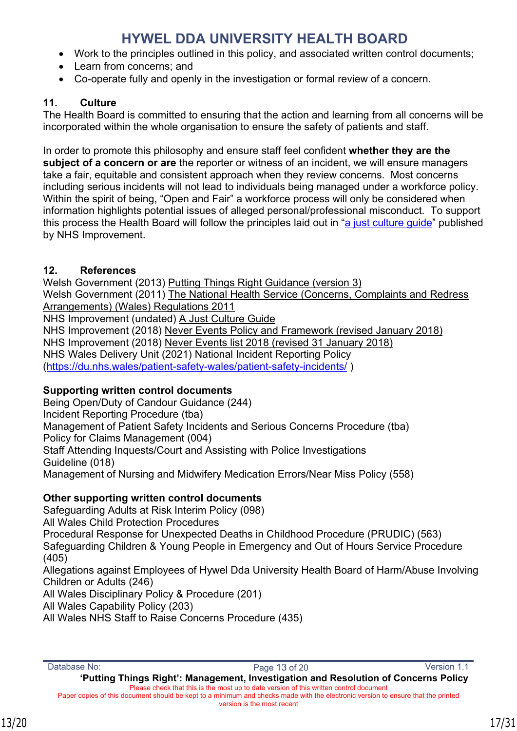- Work to the principles outlined in this policy, and associated written control documents;
- Learn from concerns; and
- Co-operate fully and openly in the investigation or formal review of a concern.

## <span id="page-16-0"></span>**11. Culture**

The Health Board is committed to ensuring that the action and learning from all concerns will be incorporated within the whole organisation to ensure the safety of patients and staff.

In order to promote this philosophy and ensure staff feel confident **whether they are the subject of a concern or are** the reporter or witness of an incident, we will ensure managers take a fair, equitable and consistent approach when they review concerns. Most concerns including serious incidents will not lead to individuals being managed under a workforce policy. Within the spirit of being, "Open and Fair" a workforce process will only be considered when information highlights potential issues of alleged personal/professional misconduct. To support this process the Health Board will follow the principles laid out in ["a just culture guide"](https://improvement.nhs.uk/documents/2490/NHS_0690_IC_A5_web_version.pdf) published by NHS Improvement.

## <span id="page-16-1"></span>**12. References**

Welsh Government (2013) Putting Things Right Guidance (version 3) Welsh Government (2011) The National Health Service (Concerns, Complaints and Redress Arrangements) (Wales) Regulations 2011 NHS Improvement (undated) A Just Culture Guide NHS Improvement (2018) Never Events Policy and Framework (revised January 2018) NHS Improvement (2018) Never Events list 2018 (revised 31 January 2018) NHS Wales Delivery Unit (2021) National Incident Reporting Policy (<https://du.nhs.wales/patient-safety-wales/patient-safety-incidents/>)

## **Supporting written control documents**

Being Open/Duty of Candour Guidance (244) Incident Reporting Procedure (tba) Management of Patient Safety Incidents and Serious Concerns Procedure (tba) Policy for Claims Management (004) Staff Attending Inquests/Court and Assisting with Police Investigations Guideline (018) Management of Nursing and Midwifery Medication Errors/Near Miss Policy (558)

## **Other supporting written control documents**

Safeguarding Adults at Risk Interim Policy (098) All Wales Child Protection Procedures Procedural Response for Unexpected Deaths in Childhood Procedure (PRUDIC) (563) Safeguarding Children & Young People in Emergency and Out of Hours Service Procedure (405) Allegations against Employees of Hywel Dda University Health Board of Harm/Abuse Involving Children or Adults (246) All Wales Disciplinary Policy & Procedure (201) All Wales Capability Policy (203) All Wales NHS Staff to Raise Concerns Procedure (435)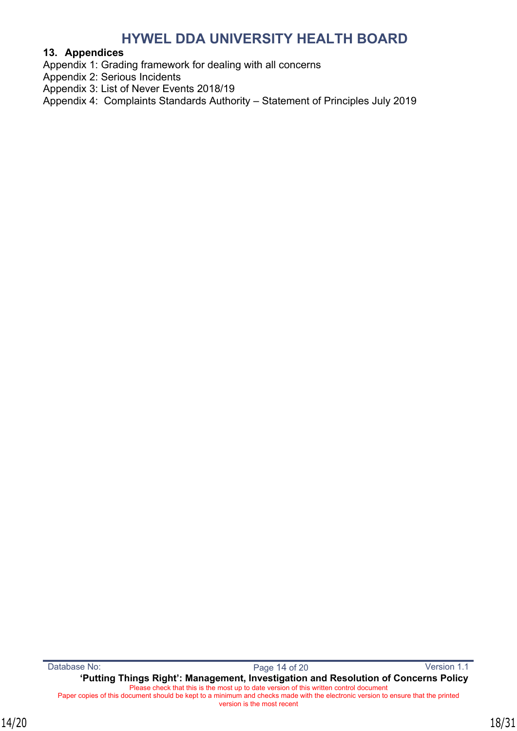#### <span id="page-17-0"></span>**13. Appendices**

Appendix 1: Grading framework for dealing with all concerns

- Appendix 2: Serious Incidents
- Appendix 3: List of Never Events 2018/19
- Appendix 4: Complaints Standards Authority Statement of Principles July 2019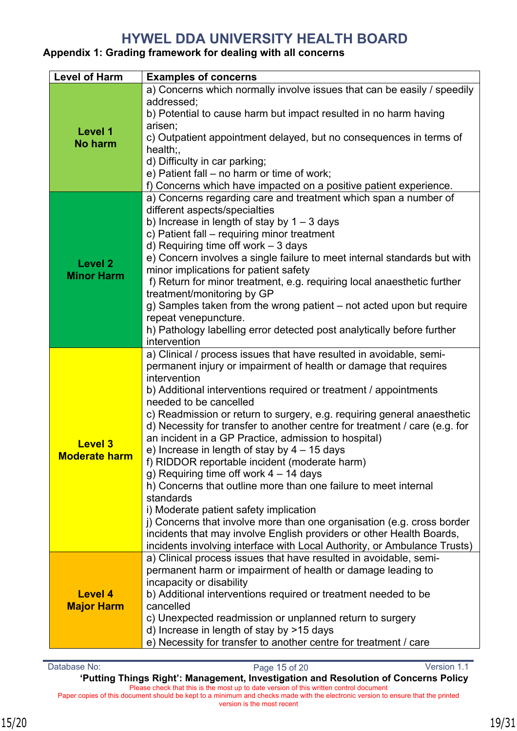### <span id="page-18-0"></span>**Appendix 1: Grading framework for dealing with all concerns**

| <b>Level of Harm</b>                   | <b>Examples of concerns</b>                                                                                                                                                                                                                                                                                                                                                                                                                                                                                                                                                                                                                                                                                                                                                                                                                                                                                                                                                 |
|----------------------------------------|-----------------------------------------------------------------------------------------------------------------------------------------------------------------------------------------------------------------------------------------------------------------------------------------------------------------------------------------------------------------------------------------------------------------------------------------------------------------------------------------------------------------------------------------------------------------------------------------------------------------------------------------------------------------------------------------------------------------------------------------------------------------------------------------------------------------------------------------------------------------------------------------------------------------------------------------------------------------------------|
| Level 1<br>No harm                     | a) Concerns which normally involve issues that can be easily / speedily<br>addressed;<br>b) Potential to cause harm but impact resulted in no harm having<br>arisen;<br>c) Outpatient appointment delayed, but no consequences in terms of<br>$health$ ;<br>d) Difficulty in car parking;<br>e) Patient fall - no harm or time of work;<br>f) Concerns which have impacted on a positive patient experience.                                                                                                                                                                                                                                                                                                                                                                                                                                                                                                                                                                |
| <b>Level 2</b><br><b>Minor Harm</b>    | a) Concerns regarding care and treatment which span a number of<br>different aspects/specialties<br>b) Increase in length of stay by $1 - 3$ days<br>c) Patient fall - requiring minor treatment<br>d) Requiring time off work $-3$ days<br>e) Concern involves a single failure to meet internal standards but with<br>minor implications for patient safety<br>f) Return for minor treatment, e.g. requiring local anaesthetic further<br>treatment/monitoring by GP<br>g) Samples taken from the wrong patient – not acted upon but require<br>repeat venepuncture.<br>h) Pathology labelling error detected post analytically before further<br>intervention                                                                                                                                                                                                                                                                                                            |
| <b>Level 3</b><br><b>Moderate harm</b> | a) Clinical / process issues that have resulted in avoidable, semi-<br>permanent injury or impairment of health or damage that requires<br>intervention<br>b) Additional interventions required or treatment / appointments<br>needed to be cancelled<br>c) Readmission or return to surgery, e.g. requiring general anaesthetic<br>d) Necessity for transfer to another centre for treatment / care (e.g. for<br>an incident in a GP Practice, admission to hospital)<br>e) Increase in length of stay by $4 - 15$ days<br>f) RIDDOR reportable incident (moderate harm)<br>g) Requiring time off work 4 - 14 days<br>h) Concerns that outline more than one failure to meet internal<br>standards<br>i) Moderate patient safety implication<br>j) Concerns that involve more than one organisation (e.g. cross border<br>incidents that may involve English providers or other Health Boards,<br>incidents involving interface with Local Authority, or Ambulance Trusts) |
| <b>Level 4</b><br><b>Major Harm</b>    | a) Clinical process issues that have resulted in avoidable, semi-<br>permanent harm or impairment of health or damage leading to<br>incapacity or disability<br>b) Additional interventions required or treatment needed to be<br>cancelled<br>c) Unexpected readmission or unplanned return to surgery<br>d) Increase in length of stay by >15 days<br>e) Necessity for transfer to another centre for treatment / care                                                                                                                                                                                                                                                                                                                                                                                                                                                                                                                                                    |

Database No: Page 15 of 20 Version 1.1 **'Putting Things Right': Management, Investigation and Resolution of Concerns Policy** Please check that this is the most up to date version of this written control document Paper copies of this document should be kept to a minimum and checks made with the electronic version to ensure that the printed version is the most recent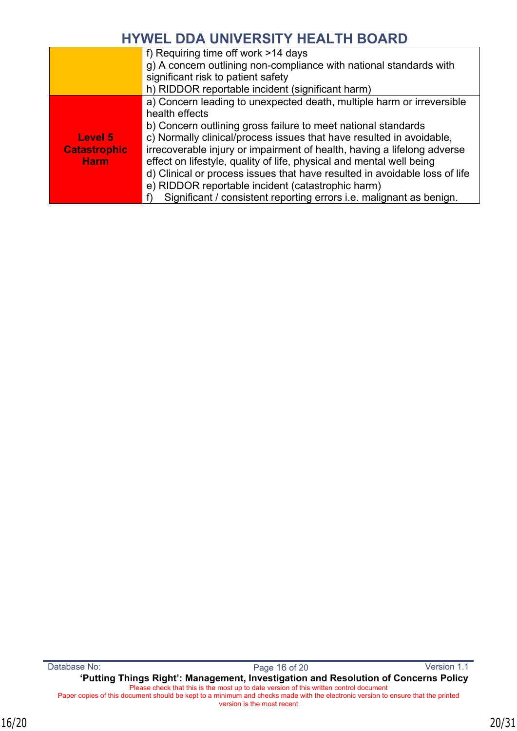|                     | f) Requiring time off work >14 days                                        |
|---------------------|----------------------------------------------------------------------------|
|                     | g) A concern outlining non-compliance with national standards with         |
|                     | significant risk to patient safety                                         |
|                     | h) RIDDOR reportable incident (significant harm)                           |
|                     | a) Concern leading to unexpected death, multiple harm or irreversible      |
|                     | health effects                                                             |
|                     | b) Concern outlining gross failure to meet national standards              |
| Level 5             | c) Normally clinical/process issues that have resulted in avoidable,       |
| <b>Catastrophic</b> | irrecoverable injury or impairment of health, having a lifelong adverse    |
| <b>Harm</b>         | effect on lifestyle, quality of life, physical and mental well being       |
|                     | d) Clinical or process issues that have resulted in avoidable loss of life |
|                     | e) RIDDOR reportable incident (catastrophic harm)                          |
|                     | Significant / consistent reporting errors <i>i.e.</i> malignant as benign. |
|                     |                                                                            |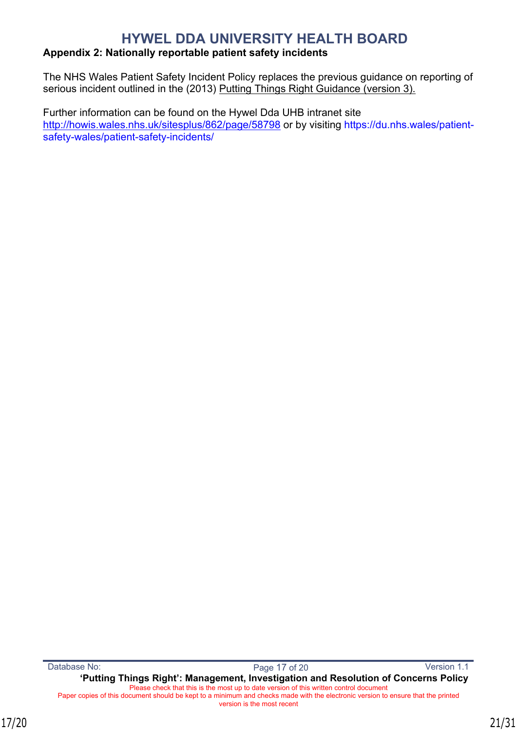### <span id="page-20-0"></span>**Appendix 2: Nationally reportable patient safety incidents**

The NHS Wales Patient Safety Incident Policy replaces the previous guidance on reporting of serious incident outlined in the (2013) Putting Things Right Guidance (version 3).

Further information can be found on the Hywel Dda UHB intranet site <http://howis.wales.nhs.uk/sitesplus/862/page/58798> or by visiting [https://du.nhs.wales/patient](https://du.nhs.wales/patient-safety-wales/patient-safety-incidents/)[safety-wales/patient-safety-incidents/](https://du.nhs.wales/patient-safety-wales/patient-safety-incidents/)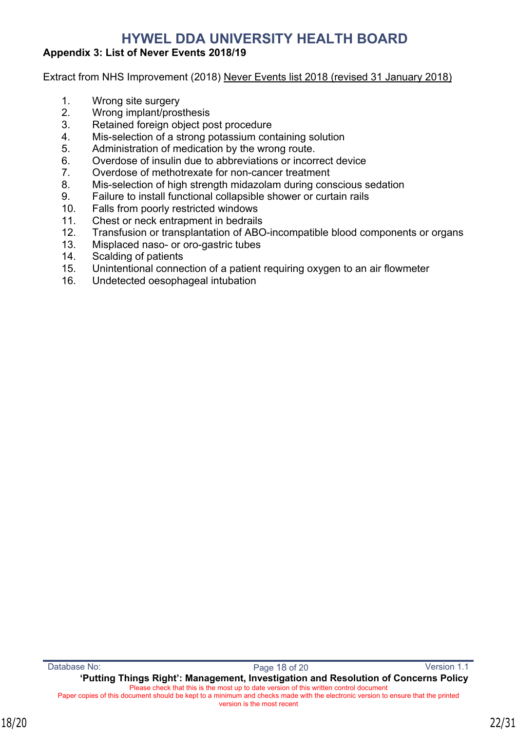### <span id="page-21-0"></span>**Appendix 3: List of Never Events 2018/19**

Extract from NHS Improvement (2018) Never Events list 2018 (revised 31 January 2018)

- 1. Wrong site surgery
- 2. Wrong implant/prosthesis
- 3. Retained foreign object post procedure
- 4. Mis-selection of a strong potassium containing solution
- 5. Administration of medication by the wrong route.
- 6. Overdose of insulin due to abbreviations or incorrect device
- 7. Overdose of methotrexate for non-cancer treatment
- 8. Mis-selection of high strength midazolam during conscious sedation
- 9. Failure to install functional collapsible shower or curtain rails
- 10. Falls from poorly restricted windows
- 11. Chest or neck entrapment in bedrails
- 12. Transfusion or transplantation of ABO-incompatible blood components or organs
- 13. Misplaced naso- or oro-gastric tubes
- 14. Scalding of patients
- 15. Unintentional connection of a patient requiring oxygen to an air flowmeter
- 16. Undetected oesophageal intubation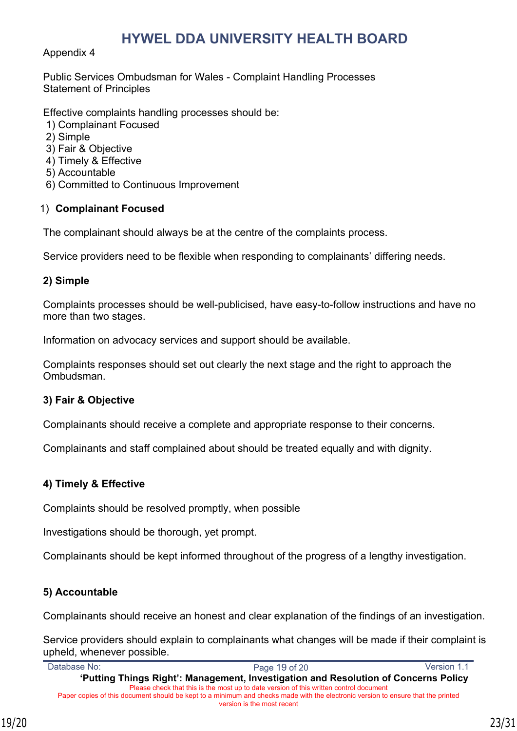#### Appendix 4

Public Services Ombudsman for Wales - Complaint Handling Processes Statement of Principles

Effective complaints handling processes should be:

- 1) Complainant Focused
- 2) Simple
- 3) Fair & Objective
- 4) Timely & Effective
- 5) Accountable
- 6) Committed to Continuous Improvement

### 1) **Complainant Focused**

The complainant should always be at the centre of the complaints process.

Service providers need to be flexible when responding to complainants' differing needs.

#### **2) Simple**

Complaints processes should be well-publicised, have easy-to-follow instructions and have no more than two stages.

Information on advocacy services and support should be available.

Complaints responses should set out clearly the next stage and the right to approach the Ombudsman.

### **3) Fair & Objective**

Complainants should receive a complete and appropriate response to their concerns.

Complainants and staff complained about should be treated equally and with dignity.

### **4) Timely & Effective**

Complaints should be resolved promptly, when possible

Investigations should be thorough, yet prompt.

Complainants should be kept informed throughout of the progress of a lengthy investigation.

## **5) Accountable**

Complainants should receive an honest and clear explanation of the findings of an investigation.

Service providers should explain to complainants what changes will be made if their complaint is upheld, whenever possible.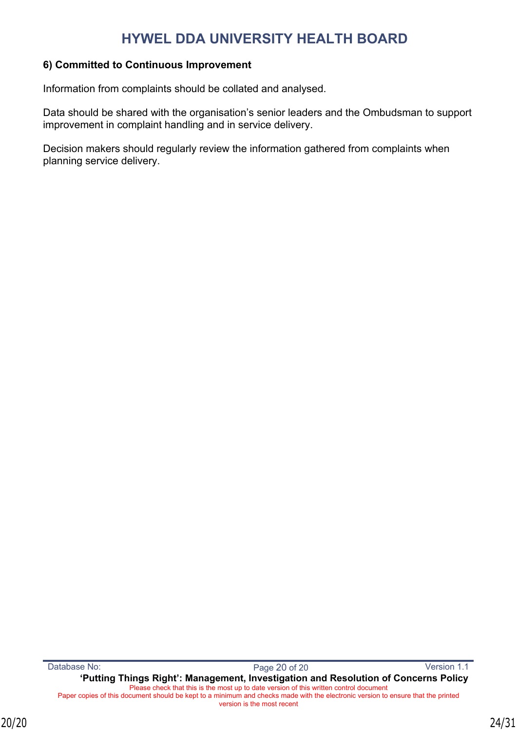### **6) Committed to Continuous Improvement**

Information from complaints should be collated and analysed.

Data should be shared with the organisation's senior leaders and the Ombudsman to support improvement in complaint handling and in service delivery.

Decision makers should regularly review the information gathered from complaints when planning service delivery.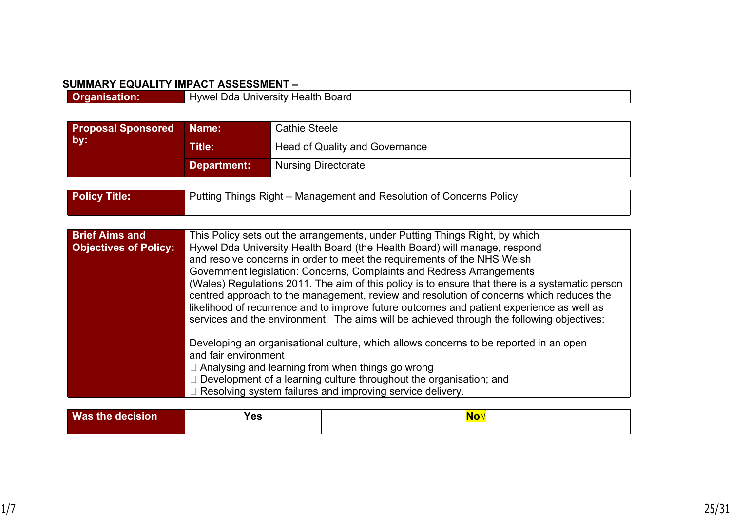#### **SUMMARY EQUALITY IMPACT ASSESSMENT –**

| ---- |                                                                        |
|------|------------------------------------------------------------------------|
|      | Innrn<br>11/NM <sup>1</sup><br>теан<br>™−⊓<br>∵ ⊓∪aru<br>,,,,,<br>5111 |
|      |                                                                        |

| <b>Proposal Sponsored</b>                             | Name:                                                                                                                                                                                                                                                                                                                                                                                                                                                                                                                                                                                                                                                                                                                                                                                                                                                                                                                                                                                                                             | <b>Cathie Steele</b>                                                |  |
|-------------------------------------------------------|-----------------------------------------------------------------------------------------------------------------------------------------------------------------------------------------------------------------------------------------------------------------------------------------------------------------------------------------------------------------------------------------------------------------------------------------------------------------------------------------------------------------------------------------------------------------------------------------------------------------------------------------------------------------------------------------------------------------------------------------------------------------------------------------------------------------------------------------------------------------------------------------------------------------------------------------------------------------------------------------------------------------------------------|---------------------------------------------------------------------|--|
| by:                                                   | <b>Title:</b>                                                                                                                                                                                                                                                                                                                                                                                                                                                                                                                                                                                                                                                                                                                                                                                                                                                                                                                                                                                                                     | <b>Head of Quality and Governance</b>                               |  |
|                                                       | <b>Department:</b>                                                                                                                                                                                                                                                                                                                                                                                                                                                                                                                                                                                                                                                                                                                                                                                                                                                                                                                                                                                                                | <b>Nursing Directorate</b>                                          |  |
|                                                       |                                                                                                                                                                                                                                                                                                                                                                                                                                                                                                                                                                                                                                                                                                                                                                                                                                                                                                                                                                                                                                   |                                                                     |  |
| <b>Policy Title:</b>                                  |                                                                                                                                                                                                                                                                                                                                                                                                                                                                                                                                                                                                                                                                                                                                                                                                                                                                                                                                                                                                                                   | Putting Things Right - Management and Resolution of Concerns Policy |  |
|                                                       |                                                                                                                                                                                                                                                                                                                                                                                                                                                                                                                                                                                                                                                                                                                                                                                                                                                                                                                                                                                                                                   |                                                                     |  |
| <b>Brief Aims and</b><br><b>Objectives of Policy:</b> | This Policy sets out the arrangements, under Putting Things Right, by which<br>Hywel Dda University Health Board (the Health Board) will manage, respond<br>and resolve concerns in order to meet the requirements of the NHS Welsh<br>Government legislation: Concerns, Complaints and Redress Arrangements<br>(Wales) Regulations 2011. The aim of this policy is to ensure that there is a systematic person<br>centred approach to the management, review and resolution of concerns which reduces the<br>likelihood of recurrence and to improve future outcomes and patient experience as well as<br>services and the environment. The aims will be achieved through the following objectives:<br>Developing an organisational culture, which allows concerns to be reported in an open<br>and fair environment<br>$\Box$ Analysing and learning from when things go wrong<br>$\Box$ Development of a learning culture throughout the organisation; and<br>$\Box$ Resolving system failures and improving service delivery. |                                                                     |  |

| Was<br>ыоік<br>ліг | - מ<br>165<br>__ |  |
|--------------------|------------------|--|
|                    |                  |  |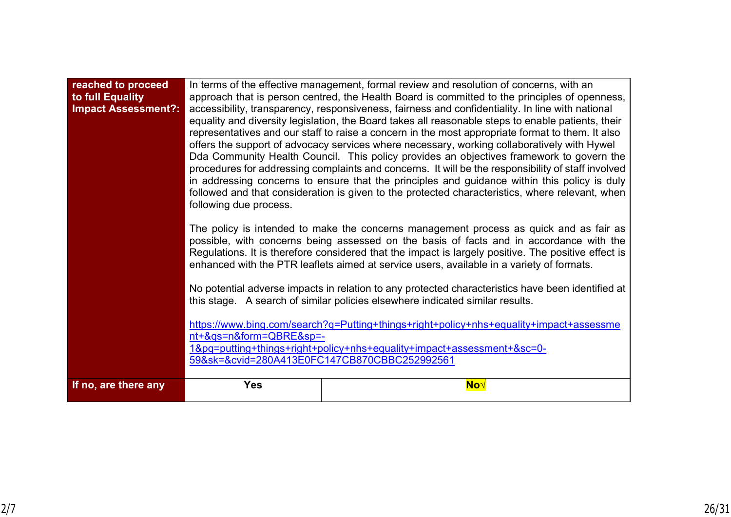| reached to proceed<br>to full Equality<br><b>Impact Assessment?:</b> | In terms of the effective management, formal review and resolution of concerns, with an<br>approach that is person centred, the Health Board is committed to the principles of openness,<br>accessibility, transparency, responsiveness, fairness and confidentiality. In line with national<br>equality and diversity legislation, the Board takes all reasonable steps to enable patients, their<br>representatives and our staff to raise a concern in the most appropriate format to them. It also<br>offers the support of advocacy services where necessary, working collaboratively with Hywel<br>Dda Community Health Council. This policy provides an objectives framework to govern the<br>procedures for addressing complaints and concerns. It will be the responsibility of staff involved<br>in addressing concerns to ensure that the principles and guidance within this policy is duly<br>followed and that consideration is given to the protected characteristics, where relevant, when<br>following due process.<br>The policy is intended to make the concerns management process as quick and as fair as<br>possible, with concerns being assessed on the basis of facts and in accordance with the<br>Regulations. It is therefore considered that the impact is largely positive. The positive effect is<br>enhanced with the PTR leaflets aimed at service users, available in a variety of formats.<br>No potential adverse impacts in relation to any protected characteristics have been identified at<br>this stage. A search of similar policies elsewhere indicated similar results.<br>https://www.bing.com/search?q=Putting+things+right+policy+nhs+equality+impact+assessme<br>nt+&qs=n&form=QBRE&sp=-<br>1&pq=putting+things+right+policy+nhs+equality+impact+assessment+≻=0-<br>59&sk=&cvid=280A413E0FC147CB870CBBC252992561 |     |  |  |
|----------------------------------------------------------------------|------------------------------------------------------------------------------------------------------------------------------------------------------------------------------------------------------------------------------------------------------------------------------------------------------------------------------------------------------------------------------------------------------------------------------------------------------------------------------------------------------------------------------------------------------------------------------------------------------------------------------------------------------------------------------------------------------------------------------------------------------------------------------------------------------------------------------------------------------------------------------------------------------------------------------------------------------------------------------------------------------------------------------------------------------------------------------------------------------------------------------------------------------------------------------------------------------------------------------------------------------------------------------------------------------------------------------------------------------------------------------------------------------------------------------------------------------------------------------------------------------------------------------------------------------------------------------------------------------------------------------------------------------------------------------------------------------------------------------------------------------------------------------------------------------------------------------------------------------------------|-----|--|--|
| If no, are there any                                                 | <b>Yes</b>                                                                                                                                                                                                                                                                                                                                                                                                                                                                                                                                                                                                                                                                                                                                                                                                                                                                                                                                                                                                                                                                                                                                                                                                                                                                                                                                                                                                                                                                                                                                                                                                                                                                                                                                                                                                                                                       | No√ |  |  |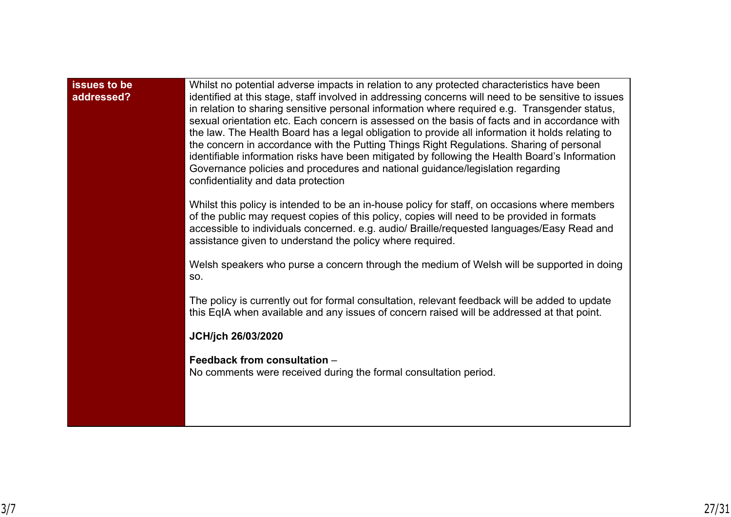| issues to be<br>addressed? | Whilst no potential adverse impacts in relation to any protected characteristics have been<br>identified at this stage, staff involved in addressing concerns will need to be sensitive to issues<br>in relation to sharing sensitive personal information where required e.g. Transgender status,<br>sexual orientation etc. Each concern is assessed on the basis of facts and in accordance with<br>the law. The Health Board has a legal obligation to provide all information it holds relating to<br>the concern in accordance with the Putting Things Right Regulations. Sharing of personal<br>identifiable information risks have been mitigated by following the Health Board's Information<br>Governance policies and procedures and national guidance/legislation regarding<br>confidentiality and data protection |
|----------------------------|--------------------------------------------------------------------------------------------------------------------------------------------------------------------------------------------------------------------------------------------------------------------------------------------------------------------------------------------------------------------------------------------------------------------------------------------------------------------------------------------------------------------------------------------------------------------------------------------------------------------------------------------------------------------------------------------------------------------------------------------------------------------------------------------------------------------------------|
|                            | Whilst this policy is intended to be an in-house policy for staff, on occasions where members<br>of the public may request copies of this policy, copies will need to be provided in formats<br>accessible to individuals concerned. e.g. audio/ Braille/requested languages/Easy Read and<br>assistance given to understand the policy where required.                                                                                                                                                                                                                                                                                                                                                                                                                                                                        |
|                            | Welsh speakers who purse a concern through the medium of Welsh will be supported in doing<br>SO.                                                                                                                                                                                                                                                                                                                                                                                                                                                                                                                                                                                                                                                                                                                               |
|                            | The policy is currently out for formal consultation, relevant feedback will be added to update<br>this EqIA when available and any issues of concern raised will be addressed at that point.                                                                                                                                                                                                                                                                                                                                                                                                                                                                                                                                                                                                                                   |
|                            | JCH/jch 26/03/2020                                                                                                                                                                                                                                                                                                                                                                                                                                                                                                                                                                                                                                                                                                                                                                                                             |
|                            | Feedback from consultation -<br>No comments were received during the formal consultation period.                                                                                                                                                                                                                                                                                                                                                                                                                                                                                                                                                                                                                                                                                                                               |
|                            |                                                                                                                                                                                                                                                                                                                                                                                                                                                                                                                                                                                                                                                                                                                                                                                                                                |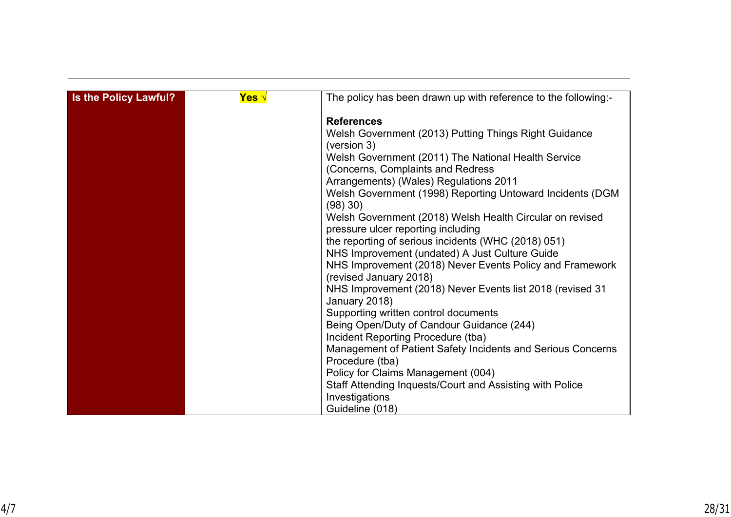| Is the Policy Lawful? | <mark>Yes</mark> √ | The policy has been drawn up with reference to the following:-                     |
|-----------------------|--------------------|------------------------------------------------------------------------------------|
|                       |                    | <b>References</b>                                                                  |
|                       |                    | Welsh Government (2013) Putting Things Right Guidance<br>(version 3)               |
|                       |                    | Welsh Government (2011) The National Health Service                                |
|                       |                    | (Concerns, Complaints and Redress                                                  |
|                       |                    | Arrangements) (Wales) Regulations 2011                                             |
|                       |                    | Welsh Government (1998) Reporting Untoward Incidents (DGM<br>(98) 30)              |
|                       |                    | Welsh Government (2018) Welsh Health Circular on revised                           |
|                       |                    | pressure ulcer reporting including                                                 |
|                       |                    | the reporting of serious incidents (WHC (2018) 051)                                |
|                       |                    | NHS Improvement (undated) A Just Culture Guide                                     |
|                       |                    | NHS Improvement (2018) Never Events Policy and Framework<br>(revised January 2018) |
|                       |                    | NHS Improvement (2018) Never Events list 2018 (revised 31                          |
|                       |                    | January 2018)                                                                      |
|                       |                    | Supporting written control documents                                               |
|                       |                    | Being Open/Duty of Candour Guidance (244)                                          |
|                       |                    | Incident Reporting Procedure (tba)                                                 |
|                       |                    | Management of Patient Safety Incidents and Serious Concerns                        |
|                       |                    | Procedure (tba)                                                                    |
|                       |                    | Policy for Claims Management (004)                                                 |
|                       |                    | Staff Attending Inquests/Court and Assisting with Police                           |
|                       |                    | Investigations                                                                     |
|                       |                    | Guideline (018)                                                                    |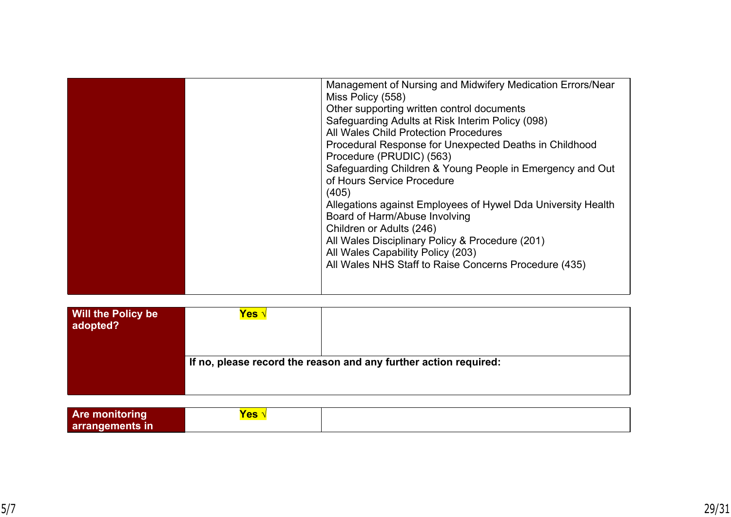| Management of Nursing and Midwifery Medication Errors/Near<br>Miss Policy (558)<br>Other supporting written control documents<br>Safeguarding Adults at Risk Interim Policy (098)<br>All Wales Child Protection Procedures<br>Procedural Response for Unexpected Deaths in Childhood<br>Procedure (PRUDIC) (563)<br>Safeguarding Children & Young People in Emergency and Out<br>of Hours Service Procedure |
|-------------------------------------------------------------------------------------------------------------------------------------------------------------------------------------------------------------------------------------------------------------------------------------------------------------------------------------------------------------------------------------------------------------|
| (405)<br>Allegations against Employees of Hywel Dda University Health<br>Board of Harm/Abuse Involving<br>Children or Adults (246)<br>All Wales Disciplinary Policy & Procedure (201)<br>All Wales Capability Policy (203)<br>All Wales NHS Staff to Raise Concerns Procedure (435)                                                                                                                         |

| <b>Will the Policy be</b><br>adopted? | Yes ∿                                                            |  |  |
|---------------------------------------|------------------------------------------------------------------|--|--|
|                                       | If no, please record the reason and any further action required: |  |  |

| <b>Are mo</b>   | 10с<br><u>co</u> |  |
|-----------------|------------------|--|
| arrangements in |                  |  |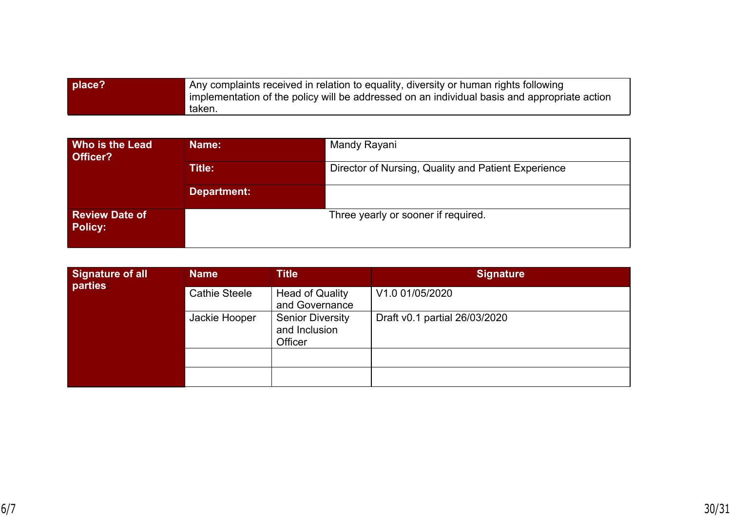| place? | Any complaints received in relation to equality, diversity or human rights following<br>implementation of the policy will be addressed on an individual basis and appropriate action |
|--------|--------------------------------------------------------------------------------------------------------------------------------------------------------------------------------------|
|        | taken.                                                                                                                                                                               |

| <b>Who is the Lead</b><br>Officer?      | Name:       | Mandy Rayani                                        |  |
|-----------------------------------------|-------------|-----------------------------------------------------|--|
|                                         | Title:      | Director of Nursing, Quality and Patient Experience |  |
|                                         | Department: |                                                     |  |
| <b>Review Date of</b><br><b>Policy:</b> |             | Three yearly or sooner if required.                 |  |

| Signature of all<br>parties | <b>Name</b>          | <b>Title</b>                                        | <b>Signature</b>              |
|-----------------------------|----------------------|-----------------------------------------------------|-------------------------------|
|                             | <b>Cathie Steele</b> | <b>Head of Quality</b><br>and Governance            | V1.0 01/05/2020               |
|                             | Jackie Hooper        | <b>Senior Diversity</b><br>and Inclusion<br>Officer | Draft v0.1 partial 26/03/2020 |
|                             |                      |                                                     |                               |
|                             |                      |                                                     |                               |